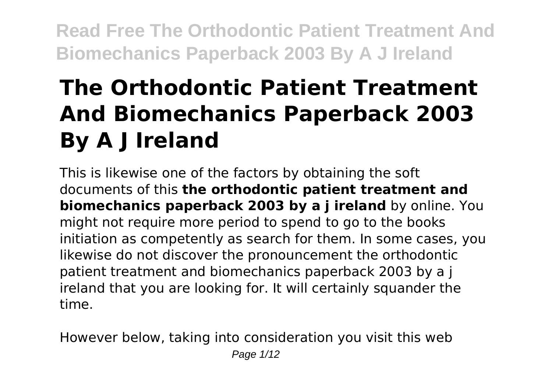# **The Orthodontic Patient Treatment And Biomechanics Paperback 2003 By A J Ireland**

This is likewise one of the factors by obtaining the soft documents of this **the orthodontic patient treatment and biomechanics paperback 2003 by a** *i* **ireland** by online. You might not require more period to spend to go to the books initiation as competently as search for them. In some cases, you likewise do not discover the pronouncement the orthodontic patient treatment and biomechanics paperback 2003 by a j ireland that you are looking for. It will certainly squander the time.

However below, taking into consideration you visit this web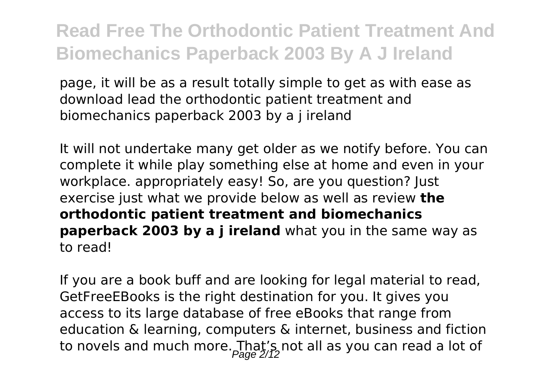page, it will be as a result totally simple to get as with ease as download lead the orthodontic patient treatment and biomechanics paperback 2003 by a j ireland

It will not undertake many get older as we notify before. You can complete it while play something else at home and even in your workplace. appropriately easy! So, are you question? Just exercise just what we provide below as well as review **the orthodontic patient treatment and biomechanics paperback 2003 by a j ireland** what you in the same way as to read!

If you are a book buff and are looking for legal material to read, GetFreeEBooks is the right destination for you. It gives you access to its large database of free eBooks that range from education & learning, computers & internet, business and fiction to novels and much more. That's not all as you can read a lot of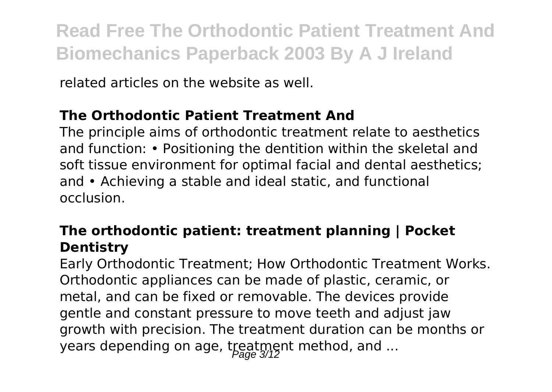related articles on the website as well.

#### **The Orthodontic Patient Treatment And**

The principle aims of orthodontic treatment relate to aesthetics and function: • Positioning the dentition within the skeletal and soft tissue environment for optimal facial and dental aesthetics; and • Achieving a stable and ideal static, and functional occlusion.

#### **The orthodontic patient: treatment planning | Pocket Dentistry**

Early Orthodontic Treatment; How Orthodontic Treatment Works. Orthodontic appliances can be made of plastic, ceramic, or metal, and can be fixed or removable. The devices provide gentle and constant pressure to move teeth and adjust jaw growth with precision. The treatment duration can be months or years depending on age, treatment method, and ...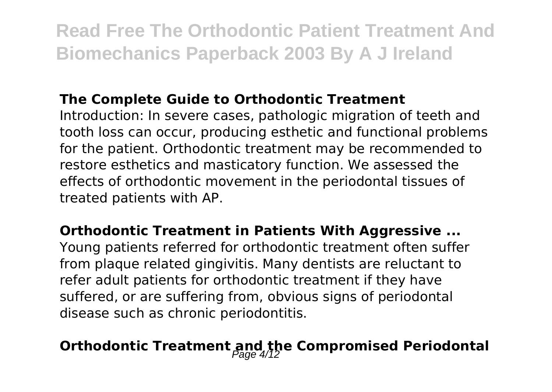#### **The Complete Guide to Orthodontic Treatment**

Introduction: In severe cases, pathologic migration of teeth and tooth loss can occur, producing esthetic and functional problems for the patient. Orthodontic treatment may be recommended to restore esthetics and masticatory function. We assessed the effects of orthodontic movement in the periodontal tissues of treated patients with AP.

#### **Orthodontic Treatment in Patients With Aggressive ...**

Young patients referred for orthodontic treatment often suffer from plaque related gingivitis. Many dentists are reluctant to refer adult patients for orthodontic treatment if they have suffered, or are suffering from, obvious signs of periodontal disease such as chronic periodontitis.

### **Orthodontic Treatment and the Compromised Periodontal**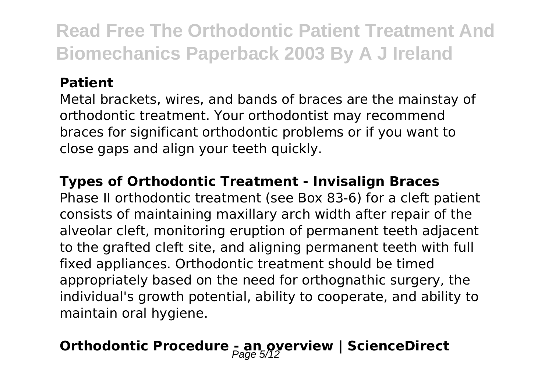#### **Patient**

Metal brackets, wires, and bands of braces are the mainstay of orthodontic treatment. Your orthodontist may recommend braces for significant orthodontic problems or if you want to close gaps and align your teeth quickly.

#### **Types of Orthodontic Treatment - Invisalign Braces**

Phase II orthodontic treatment (see Box 83-6) for a cleft patient consists of maintaining maxillary arch width after repair of the alveolar cleft, monitoring eruption of permanent teeth adjacent to the grafted cleft site, and aligning permanent teeth with full fixed appliances. Orthodontic treatment should be timed appropriately based on the need for orthognathic surgery, the individual's growth potential, ability to cooperate, and ability to maintain oral hygiene.

### **Orthodontic Procedure - an overview | ScienceDirect**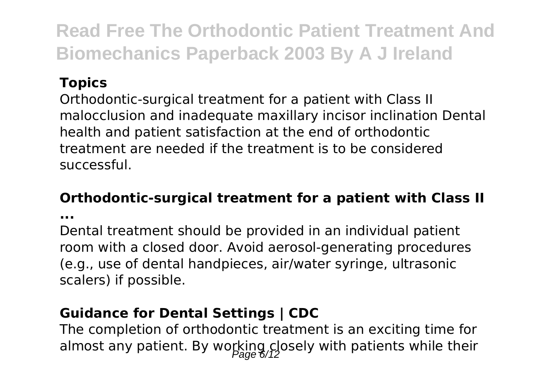#### **Topics**

Orthodontic-surgical treatment for a patient with Class II malocclusion and inadequate maxillary incisor inclination Dental health and patient satisfaction at the end of orthodontic treatment are needed if the treatment is to be considered successful.

#### **Orthodontic-surgical treatment for a patient with Class II**

**...**

Dental treatment should be provided in an individual patient room with a closed door. Avoid aerosol-generating procedures (e.g., use of dental handpieces, air/water syringe, ultrasonic scalers) if possible.

#### **Guidance for Dental Settings | CDC**

The completion of orthodontic treatment is an exciting time for almost any patient. By working closely with patients while their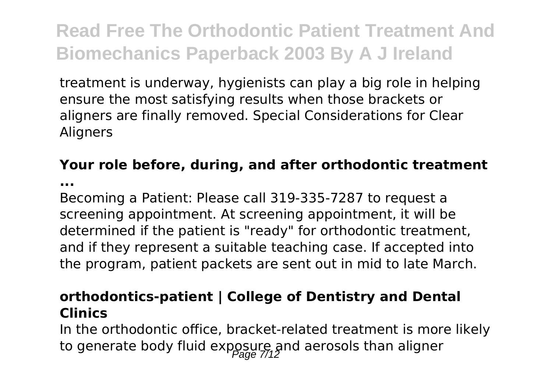treatment is underway, hygienists can play a big role in helping ensure the most satisfying results when those brackets or aligners are finally removed. Special Considerations for Clear Aligners

#### **Your role before, during, and after orthodontic treatment**

**...**

Becoming a Patient: Please call 319-335-7287 to request a screening appointment. At screening appointment, it will be determined if the patient is "ready" for orthodontic treatment, and if they represent a suitable teaching case. If accepted into the program, patient packets are sent out in mid to late March.

#### **orthodontics-patient | College of Dentistry and Dental Clinics**

In the orthodontic office, bracket-related treatment is more likely to generate body fluid exposure, and aerosols than aligner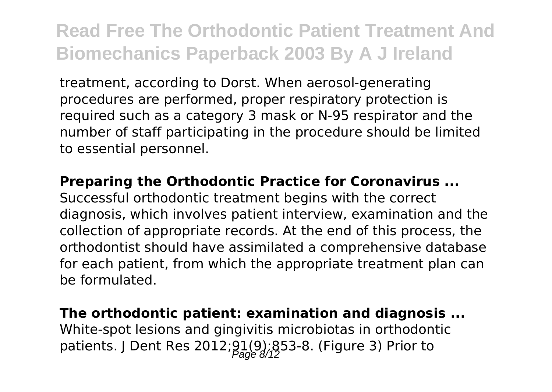treatment, according to Dorst. When aerosol-generating procedures are performed, proper respiratory protection is required such as a category 3 mask or N-95 respirator and the number of staff participating in the procedure should be limited to essential personnel.

#### **Preparing the Orthodontic Practice for Coronavirus ...**

Successful orthodontic treatment begins with the correct diagnosis, which involves patient interview, examination and the collection of appropriate records. At the end of this process, the orthodontist should have assimilated a comprehensive database for each patient, from which the appropriate treatment plan can be formulated.

### **The orthodontic patient: examination and diagnosis ...**

White-spot lesions and gingivitis microbiotas in orthodontic patients. J Dent Res 2012; $91(9)$ ; $853-8$ . (Figure 3) Prior to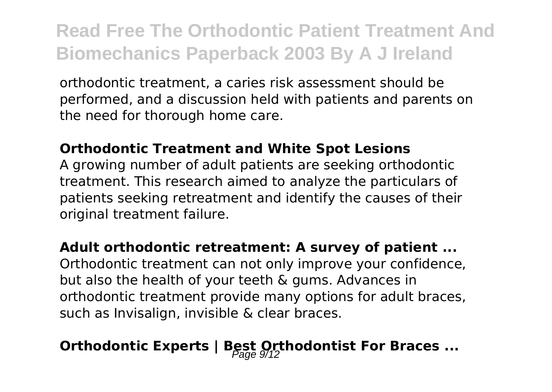orthodontic treatment, a caries risk assessment should be performed, and a discussion held with patients and parents on the need for thorough home care.

#### **Orthodontic Treatment and White Spot Lesions**

A growing number of adult patients are seeking orthodontic treatment. This research aimed to analyze the particulars of patients seeking retreatment and identify the causes of their original treatment failure.

#### **Adult orthodontic retreatment: A survey of patient ...**

Orthodontic treatment can not only improve your confidence, but also the health of your teeth & gums. Advances in orthodontic treatment provide many options for adult braces, such as Invisalign, invisible & clear braces.

### **Orthodontic Experts | Best Orthodontist For Braces ...**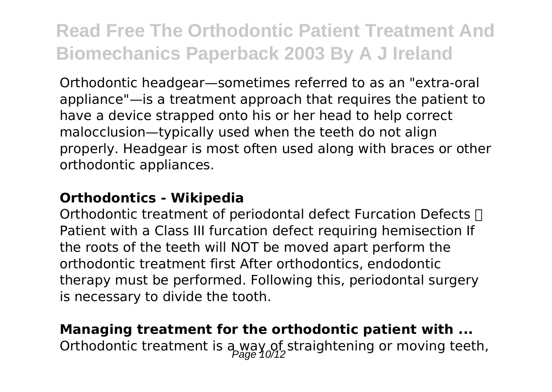Orthodontic headgear—sometimes referred to as an "extra-oral appliance"—is a treatment approach that requires the patient to have a device strapped onto his or her head to help correct malocclusion—typically used when the teeth do not align properly. Headgear is most often used along with braces or other orthodontic appliances.

#### **Orthodontics - Wikipedia**

Orthodontic treatment of periodontal defect Furcation Defects  $\Box$ Patient with a Class III furcation defect requiring hemisection If the roots of the teeth will NOT be moved apart perform the orthodontic treatment first After orthodontics, endodontic therapy must be performed. Following this, periodontal surgery is necessary to divide the tooth.

### **Managing treatment for the orthodontic patient with ...** Orthodontic treatment is  $a_{\text{p,qq}}$  of straightening or moving teeth,